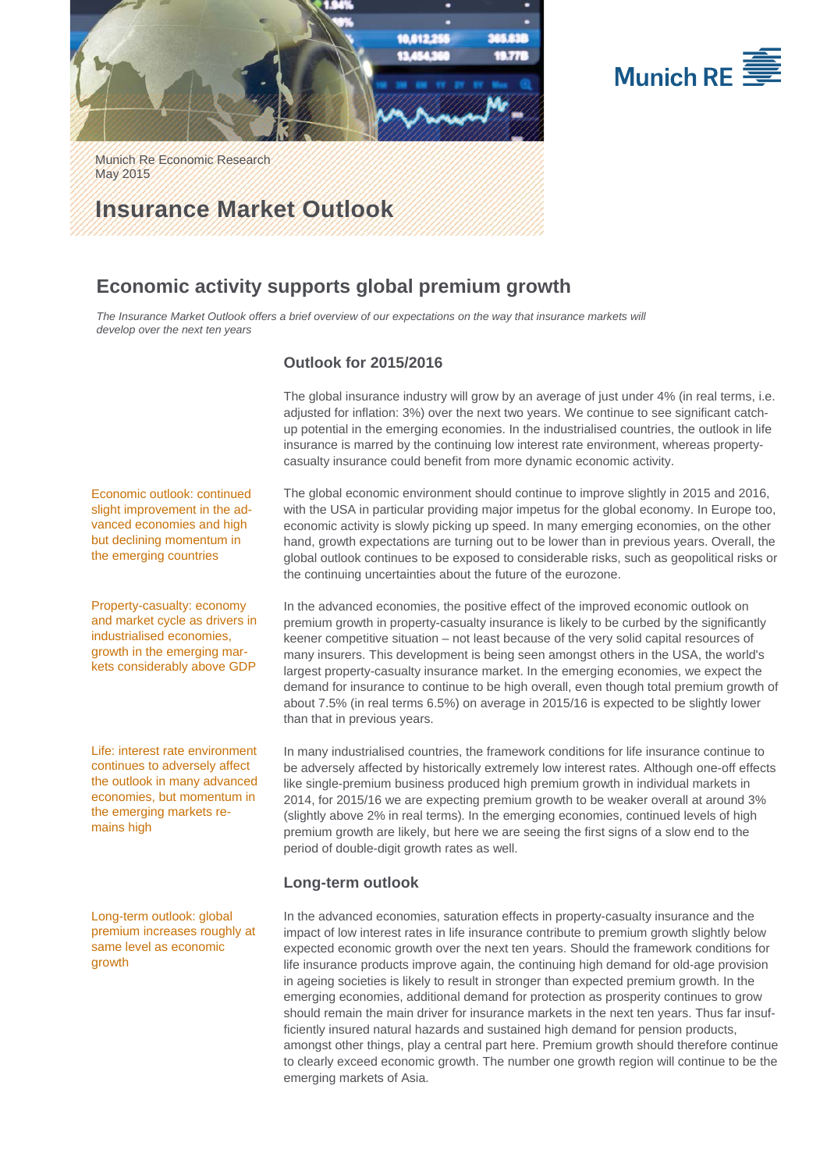



Munich Re Economic Research May 2015

# **Insurance Market Outlook**

## **Economic activity supports global premium growth**

The Insurance Market Outlook offers a brief overview of our expectations on the way that insurance markets will *develop over the next ten years* 

## **Outlook for 2015/2016**

The global insurance industry will grow by an average of just under 4% (in real terms, i.e. adjusted for inflation: 3%) over the next two years. We continue to see significant catchup potential in the emerging economies. In the industrialised countries, the outlook in life insurance is marred by the continuing low interest rate environment, whereas propertycasualty insurance could benefit from more dynamic economic activity.

Economic outlook: continued slight improvement in the advanced economies and high but declining momentum in the emerging countries

Property-casualty: economy and market cycle as drivers in industrialised economies, growth in the emerging markets considerably above GDP

Life: interest rate environment continues to adversely affect the outlook in many advanced economies, but momentum in the emerging markets remains high

Long-term outlook: global premium increases roughly at same level as economic growth

The global economic environment should continue to improve slightly in 2015 and 2016, with the USA in particular providing major impetus for the global economy. In Europe too, economic activity is slowly picking up speed. In many emerging economies, on the other hand, growth expectations are turning out to be lower than in previous years. Overall, the global outlook continues to be exposed to considerable risks, such as geopolitical risks or the continuing uncertainties about the future of the eurozone.

In the advanced economies, the positive effect of the improved economic outlook on premium growth in property-casualty insurance is likely to be curbed by the significantly keener competitive situation – not least because of the very solid capital resources of many insurers. This development is being seen amongst others in the USA, the world's largest property-casualty insurance market. In the emerging economies, we expect the demand for insurance to continue to be high overall, even though total premium growth of about 7.5% (in real terms 6.5%) on average in 2015/16 is expected to be slightly lower than that in previous years.

In many industrialised countries, the framework conditions for life insurance continue to be adversely affected by historically extremely low interest rates. Although one-off effects like single-premium business produced high premium growth in individual markets in 2014, for 2015/16 we are expecting premium growth to be weaker overall at around 3% (slightly above 2% in real terms). In the emerging economies, continued levels of high premium growth are likely, but here we are seeing the first signs of a slow end to the period of double-digit growth rates as well.

## **Long-term outlook**

In the advanced economies, saturation effects in property-casualty insurance and the impact of low interest rates in life insurance contribute to premium growth slightly below expected economic growth over the next ten years. Should the framework conditions for life insurance products improve again, the continuing high demand for old-age provision in ageing societies is likely to result in stronger than expected premium growth. In the emerging economies, additional demand for protection as prosperity continues to grow should remain the main driver for insurance markets in the next ten years. Thus far insufficiently insured natural hazards and sustained high demand for pension products, amongst other things, play a central part here. Premium growth should therefore continue to clearly exceed economic growth. The number one growth region will continue to be the emerging markets of Asia.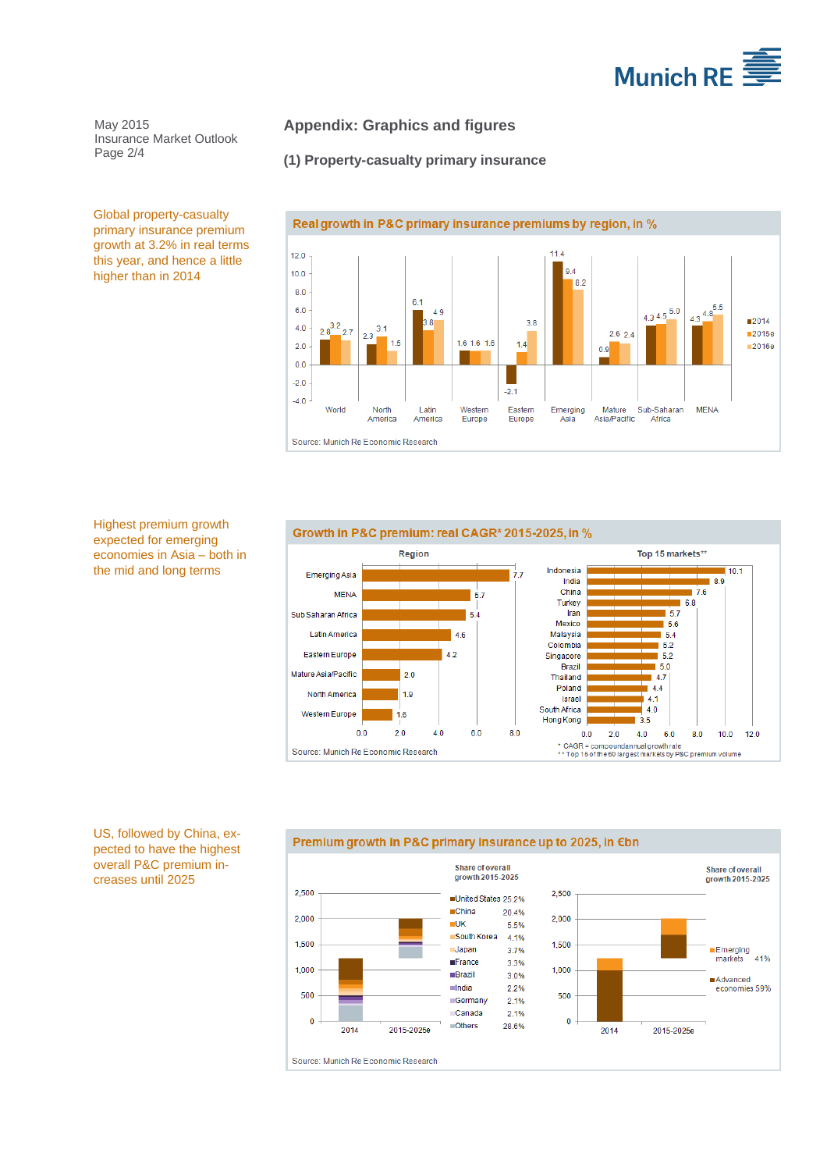

May 2015 Insurance Market Outlook Page 2/4

## **Appendix: Graphics and figures**

## **(1) Property-casualty primary insurance**



Global property-casualty primary insurance premium growth at 3.2% in real terms this year, and hence a little higher than in 2014

Highest premium growth expected for emerging economies in Asia – both in the mid and long terms



US, followed by China, expected to have the highest overall P&C premium increases until 2025

#### Premium growth in P&C primary insurance up to 2025, in €bn

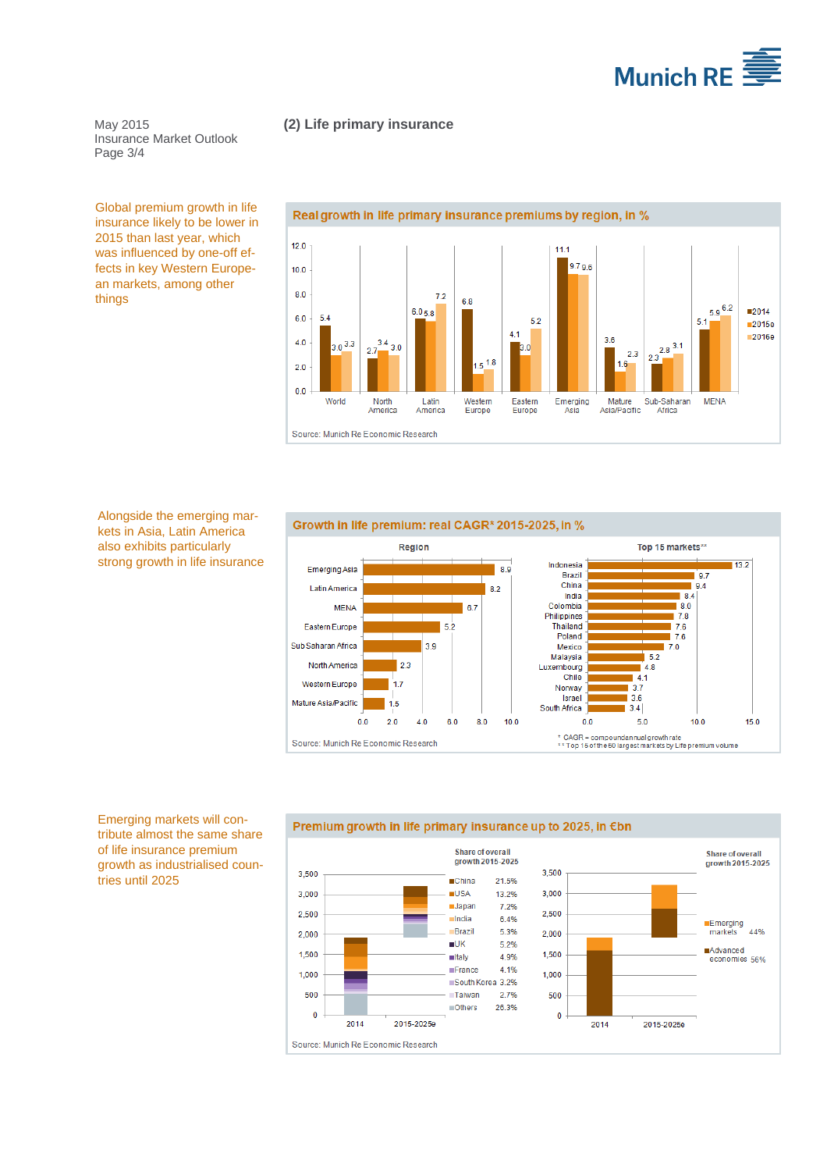

### **(2) Life primary insurance**

May 2015 Insurance Market Outlook Page 3/4

Global premium growth in life insurance likely to be lower in 2015 than last year, which was influenced by one-off effects in key Western European markets, among other things



Alongside the emerging markets in Asia, Latin America also exhibits particularly strong growth in life insurance

#### Growth in life premium: real CAGR\* 2015-2025, in %



Emerging markets will contribute almost the same share of life insurance premium growth as industrialised countries until 2025

#### Premium growth in life primary insurance up to 2025, in €bn